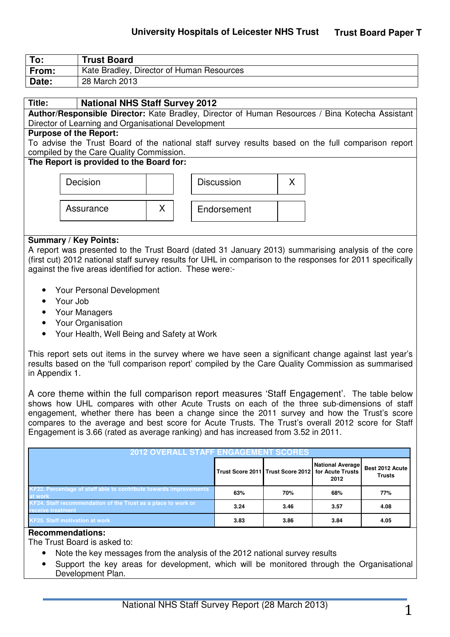| To:   | <b>Trust Board</b>                        |
|-------|-------------------------------------------|
| From: | Kate Bradley, Director of Human Resources |
| Date: | 28 March 2013                             |

### **Title: National NHS Staff Survey 2012**

**Author/Responsible Director:** Kate Bradley, Director of Human Resources / Bina Kotecha Assistant Director of Learning and Organisational Development

#### **Purpose of the Report:**

To advise the Trust Board of the national staff survey results based on the full comparison report compiled by the Care Quality Commission.

#### **The Report is provided to the Board for:**

| Decision  |
|-----------|
|           |
| Assurance |



X | Endorsement

#### **Summary / Key Points:**

A report was presented to the Trust Board (dated 31 January 2013) summarising analysis of the core (first cut) 2012 national staff survey results for UHL in comparison to the responses for 2011 specifically against the five areas identified for action. These were:-

- Your Personal Development
- Your Job
- Your Managers
- Your Organisation
- Your Health, Well Being and Safety at Work

This report sets out items in the survey where we have seen a significant change against last year's results based on the 'full comparison report' compiled by the Care Quality Commission as summarised in Appendix 1.

A core theme within the full comparison report measures 'Staff Engagement'. The table below shows how UHL compares with other Acute Trusts on each of the three sub-dimensions of staff engagement, whether there has been a change since the 2011 survey and how the Trust's score compares to the average and best score for Acute Trusts. The Trust's overall 2012 score for Staff Engagement is 3.66 (rated as average ranking) and has increased from 3.52 in 2011.

| <b>2012 OVERALL STAFF ENGAGEMENT SCORES</b>                                         |      |                                                    |                                 |                           |
|-------------------------------------------------------------------------------------|------|----------------------------------------------------|---------------------------------|---------------------------|
|                                                                                     |      | Trust Score 2011 Trust Score 2012 for Acute Trusts | <b>National Average</b><br>2012 | Best 2012 Acute<br>Trusts |
| <b>KF22. Percentage of staff able to contribute towards improvements</b><br>at work | 63%  | 70%                                                | 68%                             | 77%                       |
| KF24. Staff recommendation of the Trust as a place to work or<br>receive treatment  | 3.24 | 3.46                                               | 3.57                            | 4.08                      |
| <b>KF25. Staff motivation at work</b>                                               | 3.83 | 3.86                                               | 3.84                            | 4.05                      |

#### **Recommendations:**

The Trust Board is asked to:

- Note the key messages from the analysis of the 2012 national survey results
- Support the key areas for development, which will be monitored through the Organisational Development Plan.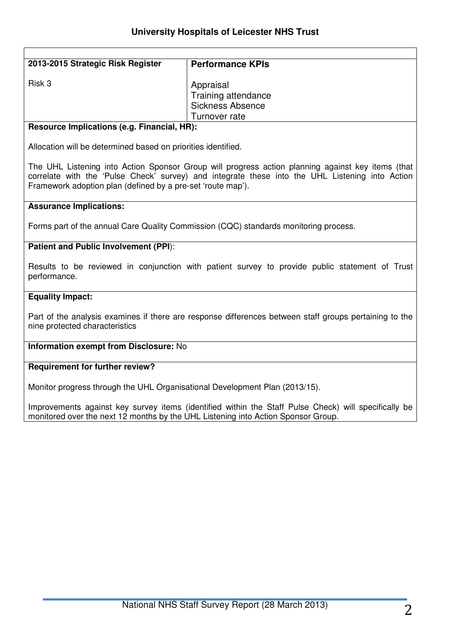| 2013-2015 Strategic Risk Register           | <b>Performance KPIs</b>                                     |  |
|---------------------------------------------|-------------------------------------------------------------|--|
| Risk 3                                      | Appraisal<br>Training attendance<br><b>Sickness Absence</b> |  |
|                                             | Turnover rate                                               |  |
| Resource Implications (e.g. Financial, HR): |                                                             |  |

Allocation will be determined based on priorities identified.

The UHL Listening into Action Sponsor Group will progress action planning against key items (that correlate with the 'Pulse Check' survey) and integrate these into the UHL Listening into Action Framework adoption plan (defined by a pre-set 'route map').

#### **Assurance Implications:**

Forms part of the annual Care Quality Commission (CQC) standards monitoring process.

#### **Patient and Public Involvement (PPI**):

Results to be reviewed in conjunction with patient survey to provide public statement of Trust performance.

#### **Equality Impact:**

Part of the analysis examines if there are response differences between staff groups pertaining to the nine protected characteristics

#### **Information exempt from Disclosure:** No

#### **Requirement for further review?**

Monitor progress through the UHL Organisational Development Plan (2013/15).

Improvements against key survey items (identified within the Staff Pulse Check) will specifically be monitored over the next 12 months by the UHL Listening into Action Sponsor Group.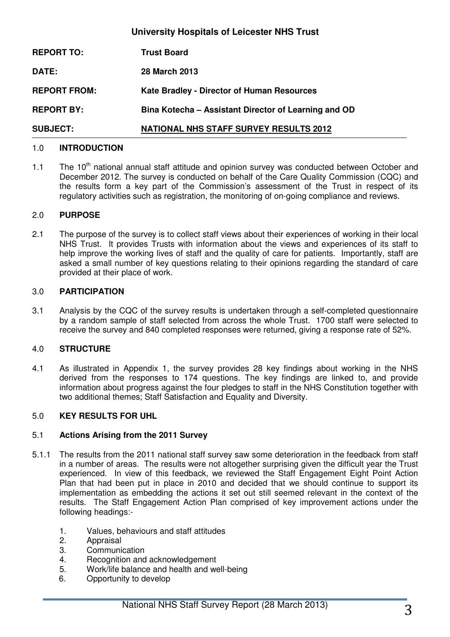| <b>University Hospitals of Leicester NHS Trust</b> |                                                      |  |
|----------------------------------------------------|------------------------------------------------------|--|
| <b>REPORT TO:</b>                                  | <b>Trust Board</b>                                   |  |
| DATE:                                              | <b>28 March 2013</b>                                 |  |
| <b>REPORT FROM:</b>                                | <b>Kate Bradley - Director of Human Resources</b>    |  |
| <b>REPORT BY:</b>                                  | Bina Kotecha - Assistant Director of Learning and OD |  |
| <b>SUBJECT:</b>                                    | <b>NATIONAL NHS STAFF SURVEY RESULTS 2012</b>        |  |

## 1.0 **INTRODUCTION**

1.1 The 10<sup>th</sup> national annual staff attitude and opinion survey was conducted between October and December 2012. The survey is conducted on behalf of the Care Quality Commission (CQC) and the results form a key part of the Commission's assessment of the Trust in respect of its regulatory activities such as registration, the monitoring of on-going compliance and reviews.

#### 2.0 **PURPOSE**

2.1 The purpose of the survey is to collect staff views about their experiences of working in their local NHS Trust. It provides Trusts with information about the views and experiences of its staff to help improve the working lives of staff and the quality of care for patients. Importantly, staff are asked a small number of key questions relating to their opinions regarding the standard of care provided at their place of work.

#### 3.0 **PARTICIPATION**

3.1 Analysis by the CQC of the survey results is undertaken through a self-completed questionnaire by a random sample of staff selected from across the whole Trust. 1700 staff were selected to receive the survey and 840 completed responses were returned, giving a response rate of 52%.

#### 4.0 **STRUCTURE**

4.1 As illustrated in Appendix 1, the survey provides 28 key findings about working in the NHS derived from the responses to 174 questions. The key findings are linked to, and provide information about progress against the four pledges to staff in the NHS Constitution together with two additional themes; Staff Satisfaction and Equality and Diversity.

#### 5.0 **KEY RESULTS FOR UHL**

#### 5.1 **Actions Arising from the 2011 Survey**

- 5.1.1 The results from the 2011 national staff survey saw some deterioration in the feedback from staff in a number of areas. The results were not altogether surprising given the difficult year the Trust experienced. In view of this feedback, we reviewed the Staff Engagement Eight Point Action Plan that had been put in place in 2010 and decided that we should continue to support its implementation as embedding the actions it set out still seemed relevant in the context of the results. The Staff Engagement Action Plan comprised of key improvement actions under the following headings:-
	- 1. Values, behaviours and staff attitudes
	- 2. Appraisal
	- 3. Communication
	- 4. Recognition and acknowledgement
	- 5. Work/life balance and health and well-being
	- 6. Opportunity to develop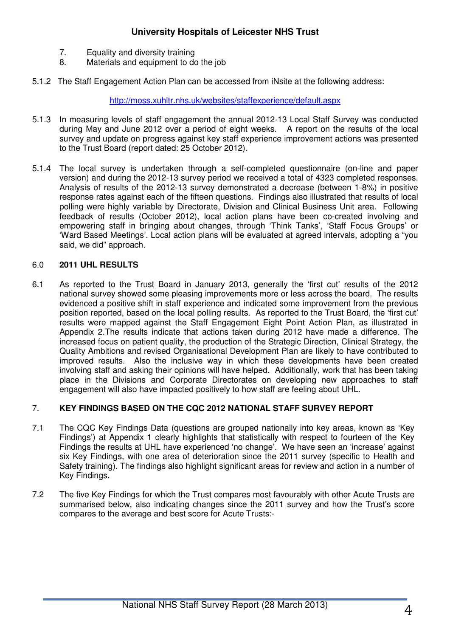- 7. Equality and diversity training
- 8. Materials and equipment to do the job
- 5.1.2 The Staff Engagement Action Plan can be accessed from iNsite at the following address:

http://moss.xuhltr.nhs.uk/websites/staffexperience/default.aspx

- 5.1.3 In measuring levels of staff engagement the annual 2012-13 Local Staff Survey was conducted during May and June 2012 over a period of eight weeks. A report on the results of the local survey and update on progress against key staff experience improvement actions was presented to the Trust Board (report dated: 25 October 2012).
- 5.1.4 The local survey is undertaken through a self-completed questionnaire (on-line and paper version) and during the 2012-13 survey period we received a total of 4323 completed responses. Analysis of results of the 2012-13 survey demonstrated a decrease (between 1-8%) in positive response rates against each of the fifteen questions. Findings also illustrated that results of local polling were highly variable by Directorate, Division and Clinical Business Unit area. Following feedback of results (October 2012), local action plans have been co-created involving and empowering staff in bringing about changes, through 'Think Tanks', 'Staff Focus Groups' or 'Ward Based Meetings'. Local action plans will be evaluated at agreed intervals, adopting a "you said, we did" approach.

#### 6.0 **2011 UHL RESULTS**

6.1 As reported to the Trust Board in January 2013, generally the 'first cut' results of the 2012 national survey showed some pleasing improvements more or less across the board. The results evidenced a positive shift in staff experience and indicated some improvement from the previous position reported, based on the local polling results. As reported to the Trust Board, the 'first cut' results were mapped against the Staff Engagement Eight Point Action Plan, as illustrated in Appendix 2.The results indicate that actions taken during 2012 have made a difference. The increased focus on patient quality, the production of the Strategic Direction, Clinical Strategy, the Quality Ambitions and revised Organisational Development Plan are likely to have contributed to improved results. Also the inclusive way in which these developments have been created involving staff and asking their opinions will have helped. Additionally, work that has been taking place in the Divisions and Corporate Directorates on developing new approaches to staff engagement will also have impacted positively to how staff are feeling about UHL.

## 7. **KEY FINDINGS BASED ON THE CQC 2012 NATIONAL STAFF SURVEY REPORT**

- 7.1 The CQC Key Findings Data (questions are grouped nationally into key areas, known as 'Key Findings') at Appendix 1 clearly highlights that statistically with respect to fourteen of the Key Findings the results at UHL have experienced 'no change'. We have seen an 'increase' against six Key Findings, with one area of deterioration since the 2011 survey (specific to Health and Safety training). The findings also highlight significant areas for review and action in a number of Key Findings.
- 7.2 The five Key Findings for which the Trust compares most favourably with other Acute Trusts are summarised below, also indicating changes since the 2011 survey and how the Trust's score compares to the average and best score for Acute Trusts:-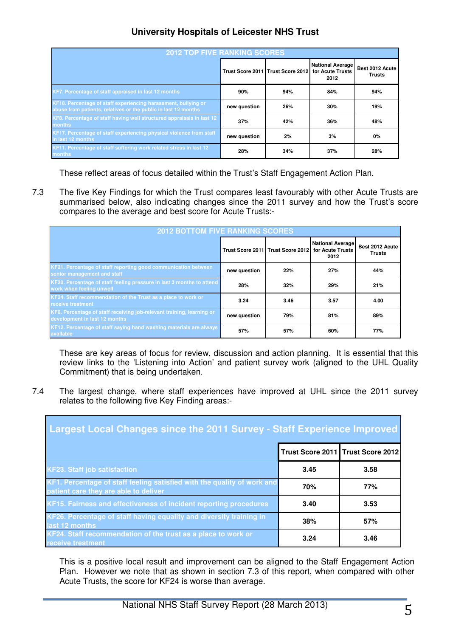| <b>2012 TOP FIVE RANKING SCORES</b>                                                                                              |              |                                   |                                                     |                                  |
|----------------------------------------------------------------------------------------------------------------------------------|--------------|-----------------------------------|-----------------------------------------------------|----------------------------------|
|                                                                                                                                  |              | Trust Score 2011 Trust Score 2012 | <b>National Average</b><br>for Acute Trusts<br>2012 | Best 2012 Acute<br><b>Trusts</b> |
| KF7. Percentage of staff appraised in last 12 months                                                                             | 90%          | 94%                               | 84%                                                 | 94%                              |
| KF18. Percentage of staff experiencing harassment, bullying or<br>abuse from patients, relatives or the public in last 12 months | new question | 26%                               | 30%                                                 | 19%                              |
| KF8. Percentage of staff having well structured appraisals in last 12<br>months                                                  | 37%          | 42%                               | 36%                                                 | 48%                              |
| KF17. Percentage of staff experiencing physical violence from staff<br>in last 12 months                                         | new question | 2%                                | 3%                                                  | 0%                               |
| KF11. Percentage of staff suffering work related stress in last 12<br>months.                                                    | 28%          | 34%                               | 37%                                                 | 28%                              |

These reflect areas of focus detailed within the Trust's Staff Engagement Action Plan.

7.3 The five Key Findings for which the Trust compares least favourably with other Acute Trusts are summarised below, also indicating changes since the 2011 survey and how the Trust's score compares to the average and best score for Acute Trusts:-

| <b>2012 BOTTOM FIVE RANKING SCORES</b>                                                                 |              |                                   |                                                     |                                  |
|--------------------------------------------------------------------------------------------------------|--------------|-----------------------------------|-----------------------------------------------------|----------------------------------|
|                                                                                                        |              | Trust Score 2011 Trust Score 2012 | <b>National Average</b><br>for Acute Trusts<br>2012 | Best 2012 Acute<br><b>Trusts</b> |
| KF21. Percentage of staff reporting good communication between<br>senior management and staff          | new question | 22%                               | 27%                                                 | 44%                              |
| KF20. Percentage of staff feeling pressure in last 3 months to attend<br>work when feeling unwell      | 28%          | 32%                               | 29%                                                 | 21%                              |
| KF24. Staff recommendation of the Trust as a place to work or<br>receive treatment                     | 3.24         | 3.46                              | 3.57                                                | 4.00                             |
| KF6. Percentage of staff receiving job-relevant training, learning or<br>development in last 12 months | new question | 79%                               | 81%                                                 | 89%                              |
| KF12. Percentage of staff saying hand washing materials are always<br>available                        | 57%          | 57%                               | 60%                                                 | 77%                              |

 These are key areas of focus for review, discussion and action planning. It is essential that this review links to the 'Listening into Action' and patient survey work (aligned to the UHL Quality Commitment) that is being undertaken.

7.4 The largest change, where staff experiences have improved at UHL since the 2011 survey relates to the following five Key Finding areas:-

| Largest Local Changes since the 2011 Survey - Staff Experience Improved                                          |      |                                   |  |  |
|------------------------------------------------------------------------------------------------------------------|------|-----------------------------------|--|--|
|                                                                                                                  |      | Trust Score 2011 Trust Score 2012 |  |  |
| <b>KF23. Staff job satisfaction</b>                                                                              | 3.45 | 3.58                              |  |  |
| KF1. Percentage of staff feeling satisfied with the quality of work and<br>patient care they are able to deliver | 70%  | 77%                               |  |  |
| KF15. Fairness and effectiveness of incident reporting procedures                                                | 3.40 | 3.53                              |  |  |
| KF26. Percentage of staff having equality and diversity training in<br>last 12 months                            | 38%  | 57%                               |  |  |
| KF24. Staff recommendation of the trust as a place to work or<br><b>receive treatment</b>                        | 3.24 | 3.46                              |  |  |

This is a positive local result and improvement can be aligned to the Staff Engagement Action Plan. However we note that as shown in section 7.3 of this report, when compared with other Acute Trusts, the score for KF24 is worse than average.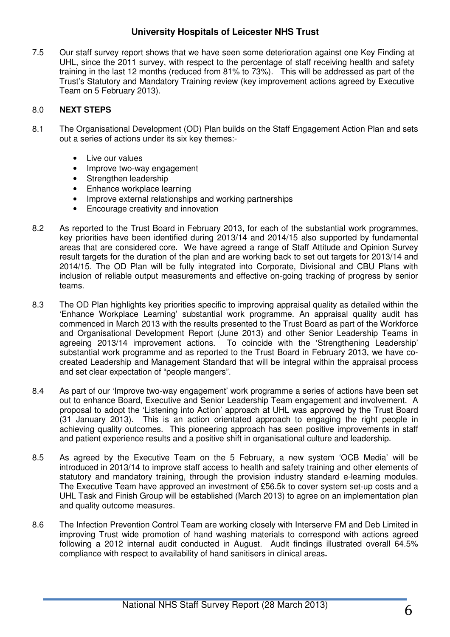7.5 Our staff survey report shows that we have seen some deterioration against one Key Finding at UHL, since the 2011 survey, with respect to the percentage of staff receiving health and safety training in the last 12 months (reduced from 81% to 73%). This will be addressed as part of the Trust's Statutory and Mandatory Training review (key improvement actions agreed by Executive Team on 5 February 2013).

### 8.0 **NEXT STEPS**

- 8.1 The Organisational Development (OD) Plan builds on the Staff Engagement Action Plan and sets out a series of actions under its six key themes:-
	- Live our values
	- Improve two-way engagement
	- Strengthen leadership
	- Enhance workplace learning
	- Improve external relationships and working partnerships
	- Encourage creativity and innovation
- 8.2 As reported to the Trust Board in February 2013, for each of the substantial work programmes, key priorities have been identified during 2013/14 and 2014/15 also supported by fundamental areas that are considered core. We have agreed a range of Staff Attitude and Opinion Survey result targets for the duration of the plan and are working back to set out targets for 2013/14 and 2014/15. The OD Plan will be fully integrated into Corporate, Divisional and CBU Plans with inclusion of reliable output measurements and effective on-going tracking of progress by senior teams.
- 8.3 The OD Plan highlights key priorities specific to improving appraisal quality as detailed within the 'Enhance Workplace Learning' substantial work programme. An appraisal quality audit has commenced in March 2013 with the results presented to the Trust Board as part of the Workforce and Organisational Development Report (June 2013) and other Senior Leadership Teams in agreeing 2013/14 improvement actions. To coincide with the 'Strengthening Leadership' substantial work programme and as reported to the Trust Board in February 2013, we have cocreated Leadership and Management Standard that will be integral within the appraisal process and set clear expectation of "people mangers".
- 8.4 As part of our 'Improve two-way engagement' work programme a series of actions have been set out to enhance Board, Executive and Senior Leadership Team engagement and involvement. A proposal to adopt the 'Listening into Action' approach at UHL was approved by the Trust Board (31 January 2013). This is an action orientated approach to engaging the right people in achieving quality outcomes. This pioneering approach has seen positive improvements in staff and patient experience results and a positive shift in organisational culture and leadership.
- 8.5 As agreed by the Executive Team on the 5 February, a new system 'OCB Media' will be introduced in 2013/14 to improve staff access to health and safety training and other elements of statutory and mandatory training, through the provision industry standard e-learning modules. The Executive Team have approved an investment of £56.5k to cover system set-up costs and a UHL Task and Finish Group will be established (March 2013) to agree on an implementation plan and quality outcome measures.
- 8.6 The Infection Prevention Control Team are working closely with Interserve FM and Deb Limited in improving Trust wide promotion of hand washing materials to correspond with actions agreed following a 2012 internal audit conducted in August. Audit findings illustrated overall 64.5% compliance with respect to availability of hand sanitisers in clinical areas**.**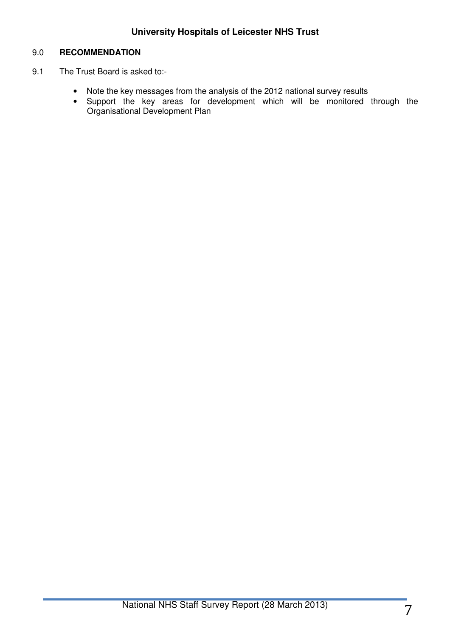## 9.0 **RECOMMENDATION**

- 9.1 The Trust Board is asked to:-
	- Note the key messages from the analysis of the 2012 national survey results
	- Support the key areas for development which will be monitored through the Organisational Development Plan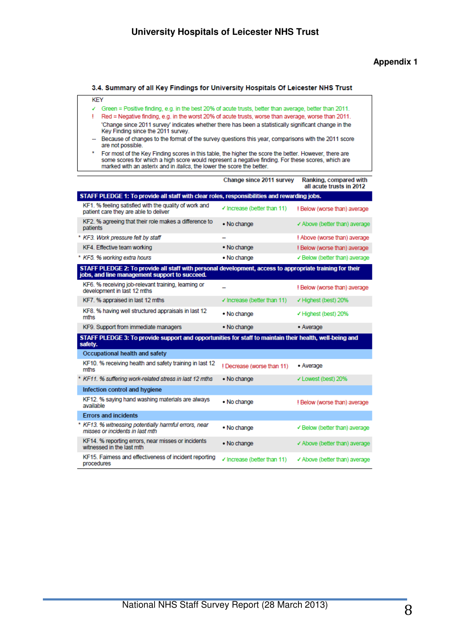#### **Appendix 1**

#### 3.4. Summary of all Key Findings for University Hospitals Of Leicester NHS Trust

- √ Green = Positive finding, e.g. in the best 20% of acute trusts, better than average, better than 2011.
- ! Red = Negative finding, e.g. in the worst 20% of acute trusts, worse than average, worse than 2011. 'Change since 2011 survey' indicates whether there has been a statistically significant change in the Key Finding since the 2011 survey.
- -- Because of changes to the format of the survey questions this year, comparisons with the 2011 score are not possible.
- For most of the Key Finding scores in this table, the higher the score the better. However, there are some scores for which a high score would represent a negative finding. For these scores, which are marked with an asteri

|                                                                                                                                                           | Change since 2011 survey               | Ranking, compared with<br>all acute trusts in 2012 |
|-----------------------------------------------------------------------------------------------------------------------------------------------------------|----------------------------------------|----------------------------------------------------|
| STAFF PLEDGE 1: To provide all staff with clear roles, responsibilities and rewarding jobs.                                                               |                                        |                                                    |
| KF1. % feeling satisfied with the quality of work and<br>patient care they are able to deliver                                                            | $\checkmark$ Increase (better than 11) | ! Below (worse than) average                       |
| KF2. % agreeing that their role makes a difference to<br>patients                                                                                         | • No change                            | ✔ Above (better than) average                      |
| * KF3. Work pressure felt by staff                                                                                                                        |                                        | ! Above (worse than) average                       |
| KF4. Effective team working                                                                                                                               | . No change                            | ! Below (worse than) average                       |
| * KF5. % working extra hours                                                                                                                              | • No change                            | ✔ Below (better than) average                      |
| STAFF PLEDGE 2: To provide all staff with personal development, access to appropriate training for their<br>jobs, and line management support to succeed. |                                        |                                                    |
| KF6. % receiving job-relevant training, learning or<br>development in last 12 mths                                                                        |                                        | ! Below (worse than) average                       |
| KF7, % appraised in last 12 mths                                                                                                                          | $\checkmark$ Increase (better than 11) | ✔ Highest (best) 20%                               |
| KF8. % having well structured appraisals in last 12<br>mths                                                                                               | • No change                            | ✔ Highest (best) 20%                               |
| KF9. Support from immediate managers                                                                                                                      | • No change                            | • Average                                          |
| STAFF PLEDGE 3: To provide support and opportunities for staff to maintain their health, well-being and<br>safety.                                        |                                        |                                                    |
| Occupational health and safety                                                                                                                            |                                        |                                                    |
| KF10. % receiving health and safety training in last 12<br>mths                                                                                           | ! Decrease (worse than 11)             | • Average                                          |
| * KF11, % suffering work-related stress in last 12 mths                                                                                                   | • No change                            | ✔ Lowest (best) 20%                                |
| Infection control and hygiene                                                                                                                             |                                        |                                                    |
| KF12. % saying hand washing materials are always<br>available                                                                                             | • No change                            | ! Below (worse than) average                       |
| <b>Errors and incidents</b>                                                                                                                               |                                        |                                                    |
| * KF13. % witnessing potentially harmful errors, near<br>misses or incidents in last mth                                                                  | • No change                            | ✔ Below (better than) average                      |
| KF14. % reporting errors, near misses or incidents<br>witnessed in the last mth                                                                           | . No change                            | ✔ Above (better than) average                      |
| KF15. Faimess and effectiveness of incident reporting<br>procedures                                                                                       | √ Increase (better than 11)            | ✔ Above (better than) average                      |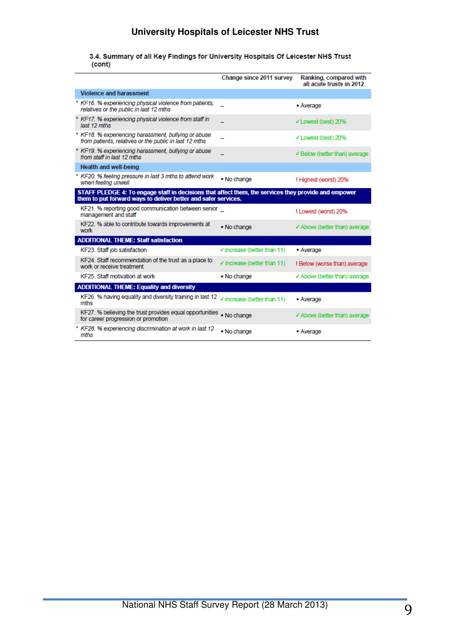3.4. Summary of all Key Findings for University Hospitals Of Leicester NHS Trust (cont)

|                                                                                                                                                                        | Change since 2011 survey               | Ranking, compared with<br>all acute trusts in 2012 |
|------------------------------------------------------------------------------------------------------------------------------------------------------------------------|----------------------------------------|----------------------------------------------------|
| <b>Violence and harassment</b>                                                                                                                                         |                                        |                                                    |
| * KF16, % experiencing physical violence from patients.<br>relatives or the public in last 12 mths                                                                     |                                        | • Average                                          |
| * KF17. % experiencing physical violence from staff in<br>last 12 mths                                                                                                 |                                        | ✔ Lowest (best) 20%                                |
| * KF18. % experiencing harassment, bullying or abuse<br>from patients, relatives or the public in last 12 mths                                                         |                                        | ✔ Lowest (best) 20%                                |
| * KF19, % experiencing harassment, bullying or abuse<br>from staff in last 12 mths                                                                                     |                                        | ✔ Below (better than) average                      |
| <b>Health and well-being</b>                                                                                                                                           |                                        |                                                    |
| * KF20, % feeling pressure in last 3 mths to attend work<br>when feeling unwell                                                                                        | • No change                            | ! Highest (worst) 20%                              |
| STAFF PLEDGE 4: To engage staff in decisions that affect them, the services they provide and empower<br>them to put forward ways to deliver better and safer services. |                                        |                                                    |
| KF21. % reporting good communication between senior<br>management and staff                                                                                            |                                        | ! Lowest (worst) 20%                               |
| KF22. % able to contribute towards improvements at<br>work                                                                                                             | • No change                            | ✔ Above (better than) average                      |
| <b>ADDITIONAL THEME: Staff satisfaction</b>                                                                                                                            |                                        |                                                    |
| KF23. Staff job satisfaction                                                                                                                                           | √ Increase (better than 11)            | • Average                                          |
| KF24. Staff recommendation of the trust as a place to<br>work or receive treatment                                                                                     | $\checkmark$ Increase (better than 11) | ! Below (worse than) average                       |
| KF25. Staff motivation at work                                                                                                                                         | • No change                            | ✔ Above (better than) average                      |
| <b>ADDITIONAL THEME: Equality and diversity</b>                                                                                                                        |                                        |                                                    |
| KF26. % having equality and diversity training in last 12<br>mths                                                                                                      | √ Increase (better than 11)            | • Average                                          |
| KF27. % believing the trust provides equal opportunities<br>for career progression or promotion                                                                        | • No change                            | ✔ Above (better than) average                      |
| * KF28, % experiencing discrimination at work in last 12<br>mths                                                                                                       | • No change                            | • Average                                          |